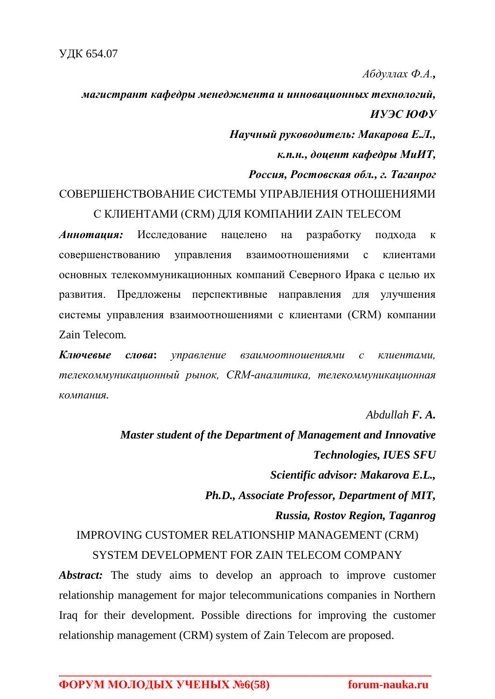*Абдуллах Ф.А.,* 

*магистрант кафедры менеджмента и инновационных технологий, ИУЭС ЮФУ*

> *Научный руководитель: Макарова Е.Л., к.п.н., доцент кафедры МиИТ,*

*Россия, Ростовская обл., г. Таганрог*

## СОВЕРШЕНСТВОВАНИЕ СИСТЕМЫ УПРАВЛЕНИЯ ОТНОШЕНИЯМИ С КЛИЕНТАМИ (CRM) ДЛЯ КОМПАНИИ ZAIN TELECOM

*Аннотация:* Исследование нацелено на разработку подхода к совершенствованию управления взаимоотношениями с клиентами основных телекоммуникационных компаний Северного Ирака с целью их развития. Предложены перспективные направления для улучшения системы управления взаимоотношениями с клиентами (CRM) компании Zain Telecom*.*

*Ключевые слова***:** *управление взаимоотношениями с клиентами, телекоммуникационный рынок, CRM-аналитика, телекоммуникационная компания.*

*Abdullah F. A.*

*Master student of the Department of Management and Innovative Technologies, IUES SFU Scientific advisor: Makarova E.L., Ph.D., Associate Professor, Department of MIT, Russia, Rostov Region, Taganrog* IMPROVING CUSTOMER RELATIONSHIP MANAGEMENT (CRM) SYSTEM DEVELOPMENT FOR ZAIN TELECOM COMPANY

*Abstract:* The study aims to develop an approach to improve customer relationship management for major telecommunications companies in Northern Iraq for their development. Possible directions for improving the customer relationship management (CRM) system of Zain Telecom are proposed.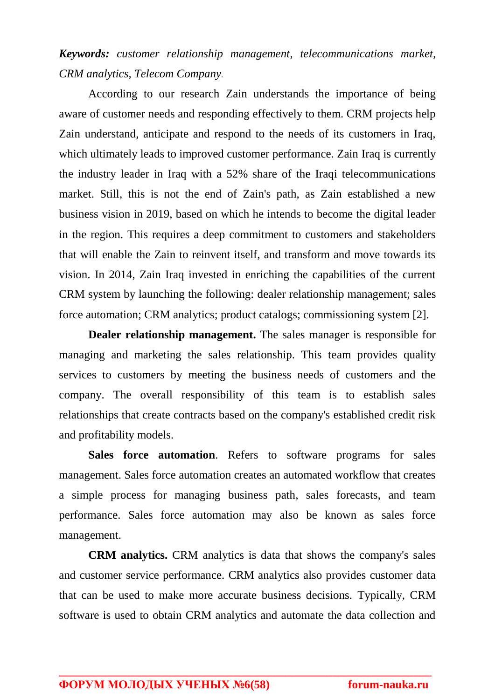*Keywords: customer relationship management, telecommunications market, CRM analytics, Telecom Company.*

According to our research Zain understands the importance of being aware of customer needs and responding effectively to them. CRM projects help Zain understand, anticipate and respond to the needs of its customers in Iraq, which ultimately leads to improved customer performance. Zain Iraq is currently the industry leader in Iraq with a 52% share of the Iraqi telecommunications market. Still, this is not the end of Zain's path, as Zain established a new business vision in 2019, based on which he intends to become the digital leader in the region. This requires a deep commitment to customers and stakeholders that will enable the Zain to reinvent itself, and transform and move towards its vision. In 2014, Zain Iraq invested in enriching the capabilities of the current CRM system by launching the following: dealer relationship management; sales force automation; CRM analytics; product catalogs; commissioning system [2].

**Dealer relationship management.** The sales manager is responsible for managing and marketing the sales relationship. This team provides quality services to customers by meeting the business needs of customers and the company. The overall responsibility of this team is to establish sales relationships that create contracts based on the company's established credit risk and profitability models.

**Sales force automation**. Refers to software programs for sales management. Sales force automation creates an automated workflow that creates a simple process for managing business path, sales forecasts, and team performance. Sales force automation may also be known as sales force management.

**CRM analytics.** CRM analytics is data that shows the company's sales and customer service performance. CRM analytics also provides customer data that can be used to make more accurate business decisions. Typically, CRM software is used to obtain CRM analytics and automate the data collection and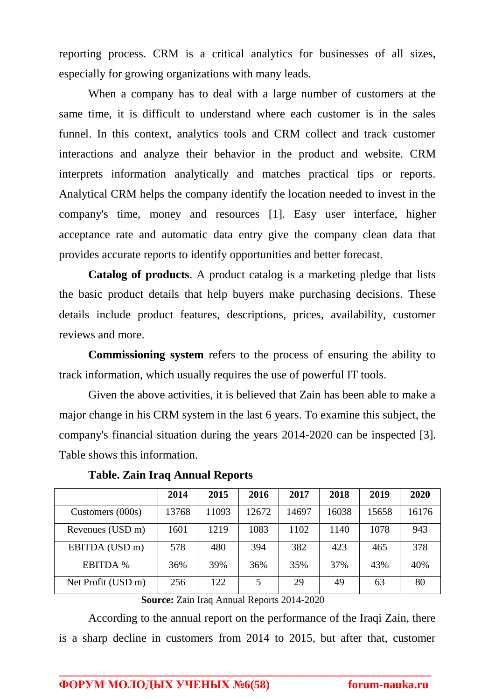reporting process. CRM is a critical analytics for businesses of all sizes, especially for growing organizations with many leads.

When a company has to deal with a large number of customers at the same time, it is difficult to understand where each customer is in the sales funnel. In this context, analytics tools and CRM collect and track customer interactions and analyze their behavior in the product and website. CRM interprets information analytically and matches practical tips or reports. Analytical CRM helps the company identify the location needed to invest in the company's time, money and resources [1]. Easy user interface, higher acceptance rate and automatic data entry give the company clean data that provides accurate reports to identify opportunities and better forecast.

**Catalog of products**. A product catalog is a marketing pledge that lists the basic product details that help buyers make purchasing decisions. These details include product features, descriptions, prices, availability, customer reviews and more.

**Commissioning system** refers to the process of ensuring the ability to track information, which usually requires the use of powerful IT tools.

Given the above activities, it is believed that Zain has been able to make a major change in his CRM system in the last 6 years. To examine this subject, the company's financial situation during the years 2014-2020 can be inspected [3]. Table shows this information.

|                    | 2014  | 2015  | 2016  | 2017  | 2018  | 2019  | 2020  |
|--------------------|-------|-------|-------|-------|-------|-------|-------|
| Customers (000s)   | 13768 | 11093 | 12672 | 14697 | 16038 | 15658 | 16176 |
| Revenues (USD m)   | 1601  | 1219  | 1083  | 1102  | 1140  | 1078  | 943   |
| EBITDA (USD m)     | 578   | 480   | 394   | 382   | 423   | 465   | 378   |
| <b>EBITDA</b> %    | 36%   | 39%   | 36%   | 35%   | 37%   | 43%   | 40%   |
| Net Profit (USD m) | 256   | 122   | 5     | 29    | 49    | 63    | 80    |

**Table. Zain Iraq Annual Reports**

**Source:** Zain Iraq Annual Reports 2014-2020

According to the annual report on the performance of the Iraqi Zain, there is a sharp decline in customers from 2014 to 2015, but after that, customer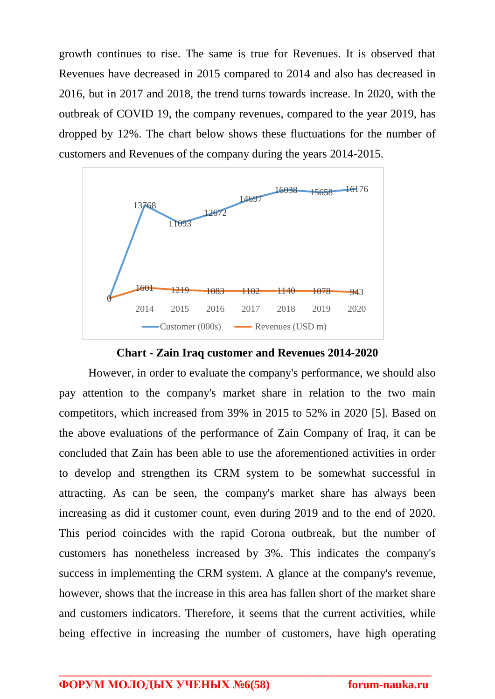growth continues to rise. The same is true for Revenues. It is observed that Revenues have decreased in 2015 compared to 2014 and also has decreased in 2016, but in 2017 and 2018, the trend turns towards increase. In 2020, with the outbreak of COVID 19, the company revenues, compared to the year 2019, has dropped by 12%. The chart below shows these fluctuations for the number of customers and Revenues of the company during the years 2014-2015.



**Chart - Zain Iraq customer and Revenues 2014-2020**

However, in order to evaluate the company's performance, we should also pay attention to the company's market share in relation to the two main competitors, which increased from 39% in 2015 to 52% in 2020 [5]. Based on the above evaluations of the performance of Zain Company of Iraq, it can be concluded that Zain has been able to use the aforementioned activities in order to develop and strengthen its CRM system to be somewhat successful in attracting. As can be seen, the company's market share has always been increasing as did it customer count, even during 2019 and to the end of 2020. This period coincides with the rapid Corona outbreak, but the number of customers has nonetheless increased by 3%. This indicates the company's success in implementing the CRM system. A glance at the company's revenue, however, shows that the increase in this area has fallen short of the market share and customers indicators. Therefore, it seems that the current activities, while being effective in increasing the number of customers, have high operating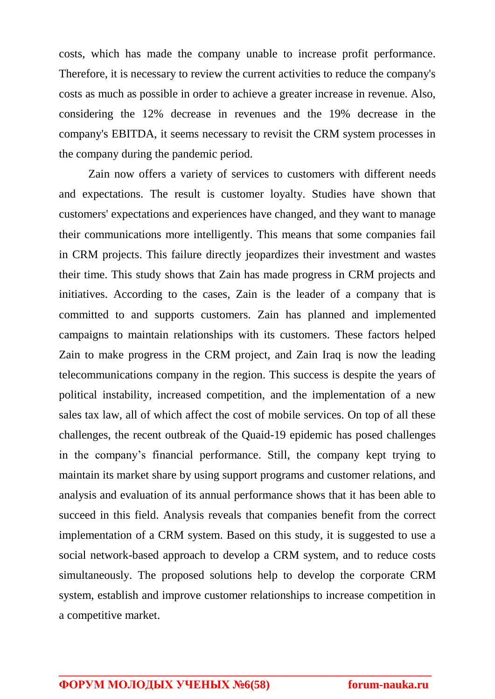costs, which has made the company unable to increase profit performance. Therefore, it is necessary to review the current activities to reduce the company's costs as much as possible in order to achieve a greater increase in revenue. Also, considering the 12% decrease in revenues and the 19% decrease in the company's EBITDA, it seems necessary to revisit the CRM system processes in the company during the pandemic period.

Zain now offers a variety of services to customers with different needs and expectations. The result is customer loyalty. Studies have shown that customers' expectations and experiences have changed, and they want to manage their communications more intelligently. This means that some companies fail in CRM projects. This failure directly jeopardizes their investment and wastes their time. This study shows that Zain has made progress in CRM projects and initiatives. According to the cases, Zain is the leader of a company that is committed to and supports customers. Zain has planned and implemented campaigns to maintain relationships with its customers. These factors helped Zain to make progress in the CRM project, and Zain Iraq is now the leading telecommunications company in the region. This success is despite the years of political instability, increased competition, and the implementation of a new sales tax law, all of which affect the cost of mobile services. On top of all these challenges, the recent outbreak of the Quaid-19 epidemic has posed challenges in the company's financial performance. Still, the company kept trying to maintain its market share by using support programs and customer relations, and analysis and evaluation of its annual performance shows that it has been able to succeed in this field. Analysis reveals that companies benefit from the correct implementation of a CRM system. Based on this study, it is suggested to use a social network-based approach to develop a CRM system, and to reduce costs simultaneously. The proposed solutions help to develop the corporate CRM system, establish and improve customer relationships to increase competition in a competitive market.